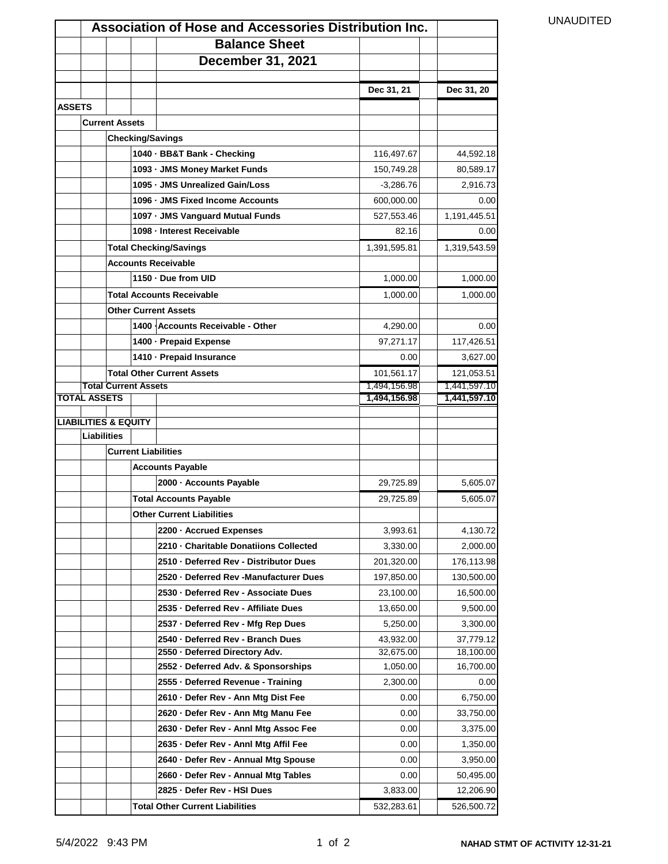|               |                                 |                       |                             | <b>Association of Hose and Accessories Distribution Inc.</b>                 |                              |                              | <b>UNAUDITED</b> |
|---------------|---------------------------------|-----------------------|-----------------------------|------------------------------------------------------------------------------|------------------------------|------------------------------|------------------|
|               |                                 |                       |                             | <b>Balance Sheet</b>                                                         |                              |                              |                  |
|               |                                 |                       |                             | <b>December 31, 2021</b>                                                     |                              |                              |                  |
|               |                                 |                       |                             |                                                                              |                              |                              |                  |
|               |                                 |                       |                             |                                                                              | Dec 31, 21                   | Dec 31, 20                   |                  |
| <b>ASSETS</b> |                                 |                       |                             |                                                                              |                              |                              |                  |
|               |                                 | <b>Current Assets</b> |                             |                                                                              |                              |                              |                  |
|               |                                 |                       |                             | <b>Checking/Savings</b>                                                      |                              |                              |                  |
|               |                                 |                       |                             | 1040 · BB&T Bank - Checking                                                  | 116,497.67                   | 44,592.18                    |                  |
|               |                                 |                       |                             | 1093 - JMS Money Market Funds                                                | 150,749.28                   | 80,589.17                    |                  |
|               |                                 |                       |                             | 1095 · JMS Unrealized Gain/Loss                                              | $-3,286.76$                  | 2,916.73                     |                  |
|               |                                 |                       |                             | 1096 - JMS Fixed Income Accounts                                             | 600,000.00                   | 0.00                         |                  |
|               |                                 |                       |                             | 1097 - JMS Vanguard Mutual Funds                                             | 527,553.46                   | 1,191,445.51                 |                  |
|               |                                 |                       |                             | 1098 - Interest Receivable                                                   | 82.16                        | 0.00                         |                  |
|               |                                 |                       |                             | <b>Total Checking/Savings</b>                                                | 1,391,595.81                 | 1,319,543.59                 |                  |
|               |                                 |                       |                             | <b>Accounts Receivable</b>                                                   |                              |                              |                  |
|               |                                 |                       |                             | 1150 - Due from UID                                                          | 1,000.00                     | 1,000.00                     |                  |
|               |                                 |                       |                             | <b>Total Accounts Receivable</b>                                             | 1,000.00                     | 1,000.00                     |                  |
|               |                                 |                       |                             | <b>Other Current Assets</b>                                                  |                              |                              |                  |
|               |                                 |                       |                             | 1400 Accounts Receivable - Other                                             | 4,290.00                     | 0.00                         |                  |
|               |                                 |                       |                             | 1400 - Prepaid Expense                                                       | 97,271.17                    | 117,426.51                   |                  |
|               |                                 |                       |                             | 1410 - Prepaid Insurance                                                     | 0.00                         | 3,627.00                     |                  |
|               |                                 |                       |                             | <b>Total Other Current Assets</b>                                            | 101,561.17                   | 121,053.51                   |                  |
|               | <b>TOTAL ASSETS</b>             |                       | <b>Total Current Assets</b> |                                                                              | 1,494,156.98<br>1,494,156.98 | 1,441,597.10<br>1,441,597.10 |                  |
|               |                                 |                       |                             |                                                                              |                              |                              |                  |
|               | <b>LIABILITIES &amp; EQUITY</b> |                       |                             |                                                                              |                              |                              |                  |
|               | <b>Liabilities</b>              |                       |                             |                                                                              |                              |                              |                  |
|               |                                 |                       |                             | <b>Current Liabilities</b>                                                   |                              |                              |                  |
|               |                                 |                       |                             | <b>Accounts Payable</b>                                                      |                              |                              |                  |
|               |                                 |                       |                             | 2000 - Accounts Payable                                                      | 29,725.89                    | 5,605.07                     |                  |
|               |                                 |                       |                             | <b>Total Accounts Payable</b>                                                | 29,725.89                    | 5,605.07                     |                  |
|               |                                 |                       |                             | <b>Other Current Liabilities</b>                                             |                              |                              |                  |
|               |                                 |                       |                             | 2200 - Accrued Expenses                                                      | 3,993.61                     | 4,130.72                     |                  |
|               |                                 |                       |                             | 2210 - Charitable Donatiions Collected                                       | 3,330.00                     | 2,000.00                     |                  |
|               |                                 |                       |                             | 2510 - Deferred Rev - Distributor Dues                                       | 201,320.00                   | 176,113.98                   |                  |
|               |                                 |                       |                             | 2520 · Deferred Rev -Manufacturer Dues                                       | 197,850.00                   | 130,500.00                   |                  |
|               |                                 |                       |                             | 2530 - Deferred Rev - Associate Dues<br>2535 - Deferred Rev - Affiliate Dues | 23,100.00<br>13,650.00       | 16,500.00<br>9,500.00        |                  |
|               |                                 |                       |                             | 2537 - Deferred Rev - Mfg Rep Dues                                           | 5,250.00                     | 3,300.00                     |                  |
|               |                                 |                       |                             |                                                                              |                              |                              |                  |
|               |                                 |                       |                             | 2540 - Deferred Rev - Branch Dues<br>2550 - Deferred Directory Adv.          | 43,932.00<br>32,675.00       | 37,779.12<br>18,100.00       |                  |
|               |                                 |                       |                             | 2552 · Deferred Adv. & Sponsorships                                          | 1,050.00                     | 16,700.00                    |                  |
|               |                                 |                       |                             | 2555 - Deferred Revenue - Training                                           | 2,300.00                     | 0.00                         |                  |
|               |                                 |                       |                             | 2610 · Defer Rev - Ann Mtg Dist Fee                                          | 0.00                         | 6,750.00                     |                  |
|               |                                 |                       |                             | 2620 · Defer Rev - Ann Mtg Manu Fee                                          | 0.00                         | 33,750.00                    |                  |
|               |                                 |                       |                             | 2630 - Defer Rev - Anni Mtg Assoc Fee                                        | 0.00                         | 3,375.00                     |                  |
|               |                                 |                       |                             | 2635 - Defer Rev - Anni Mtg Affil Fee                                        | 0.00                         | 1,350.00                     |                  |
|               |                                 |                       |                             | 2640 · Defer Rev - Annual Mtg Spouse                                         | 0.00                         | 3,950.00                     |                  |
|               |                                 |                       |                             | 2660 · Defer Rev - Annual Mtg Tables                                         | 0.00                         | 50,495.00                    |                  |
|               |                                 |                       |                             | 2825 · Defer Rev - HSI Dues                                                  | 3,833.00                     | 12,206.90                    |                  |
|               |                                 |                       |                             | <b>Total Other Current Liabilities</b>                                       | 532,283.61                   | 526,500.72                   |                  |
|               |                                 |                       |                             |                                                                              |                              |                              |                  |